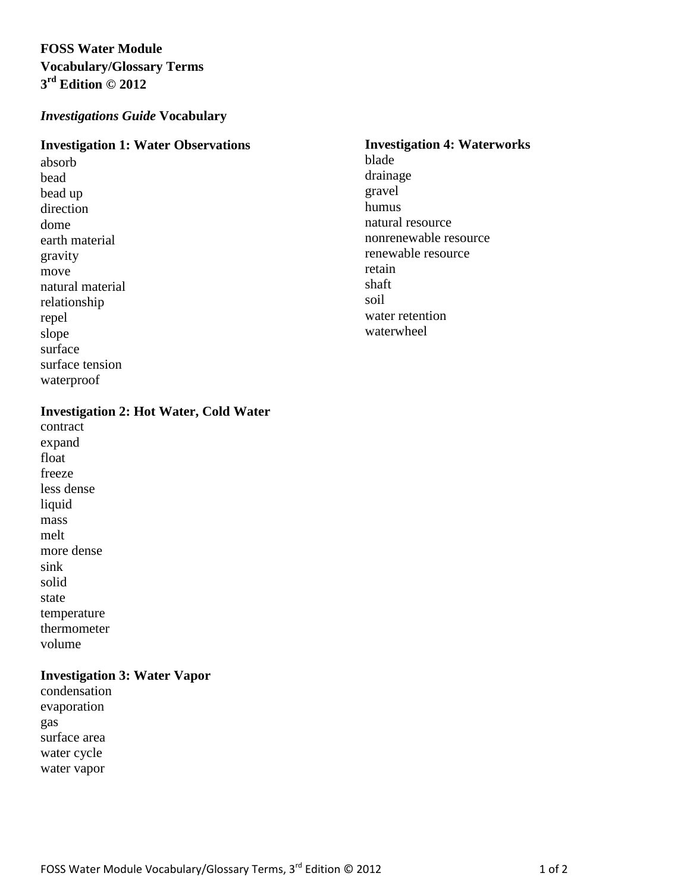# **FOSS Water Module Vocabulary/Glossary Terms 3 rd Edition © 2012**

## *Investigations Guide* **Vocabulary**

#### **Investigation 1: Water Observations**

absorb bead bead up direction dome earth material gravity move natural material relationship repel slope surface surface tension waterproof

# **Investigation 2: Hot Water, Cold Water**

contract expand float freeze less dense liquid mass melt more dense sink solid state temperature thermometer volume

## **Investigation 3: Water Vapor**

condensation evaporation gas surface area water cycle water vapor

#### **Investigation 4: Waterworks**

blade drainage gravel humus natural resource nonrenewable resource renewable resource retain shaft soil water retention waterwheel